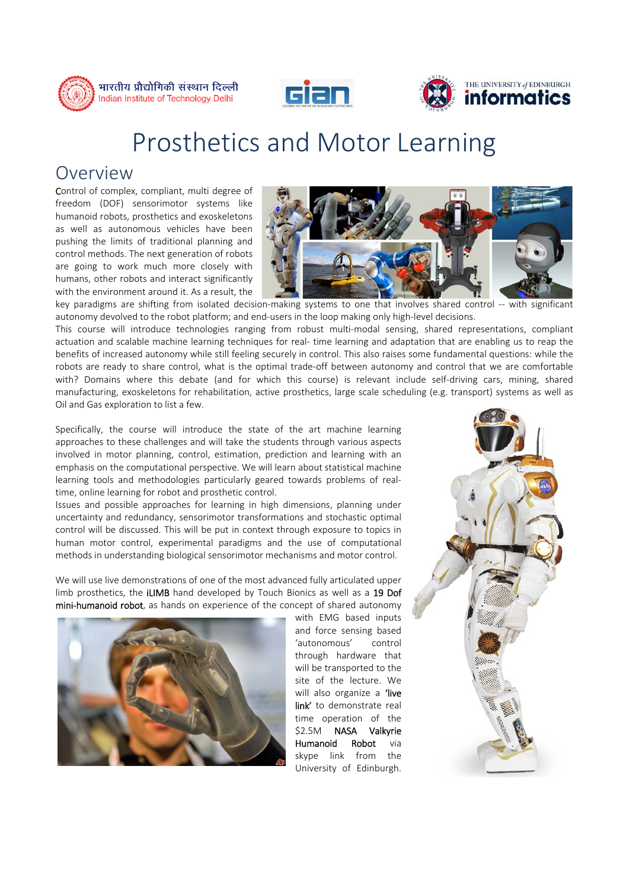





## Prosthetics and Motor Learning

## Overview

Control of complex, compliant, multi degree of freedom (DOF) sensorimotor systems like humanoid robots, prosthetics and exoskeletons as well as autonomous vehicles have been pushing the limits of traditional planning and control methods. The next generation of robots are going to work much more closely with humans, other robots and interact significantly with the environment around it. As a result, the



key paradigms are shifting from isolated decision-making systems to one that involves shared control -- with significant autonomy devolved to the robot platform; and end-users in the loop making only high-level decisions.

This course will introduce technologies ranging from robust multi-modal sensing, shared representations, compliant actuation and scalable machine learning techniques for real- time learning and adaptation that are enabling us to reap the benefits of increased autonomy while still feeling securely in control. This also raises some fundamental questions: while the robots are ready to share control, what is the optimal trade-off between autonomy and control that we are comfortable with? Domains where this debate (and for which this course) is relevant include self-driving cars, mining, shared manufacturing, exoskeletons for rehabilitation, active prosthetics, large scale scheduling (e.g. transport) systems as well as Oil and Gas exploration to list a few.

Specifically, the course will introduce the state of the art machine learning approaches to these challenges and will take the students through various aspects involved in motor planning, control, estimation, prediction and learning with an emphasis on the computational perspective. We will learn about statistical machine learning tools and methodologies particularly geared towards problems of realtime, online learning for robot and prosthetic control.

Issues and possible approaches for learning in high dimensions, planning under uncertainty and redundancy, sensorimotor transformations and stochastic optimal control will be discussed. This will be put in context through exposure to topics in human motor control, experimental paradigms and the use of computational methods in understanding biological sensorimotor mechanisms and motor control.

We will use live demonstrations of one of the most advanced fully articulated upper limb prosthetics, the **iLIMB** hand developed by Touch Bionics as well as a **19 Dof** mini-humanoid robot, as hands on experience of the concept of shared autonomy



with EMG based inputs and force sensing based 'autonomous' control through hardware that will be transported to the site of the lecture. We will also organize a **'live** link' to demonstrate real time operation of the \$2.5M NASA Valkyrie Humanoid Robot via skype link from the University of Edinburgh.

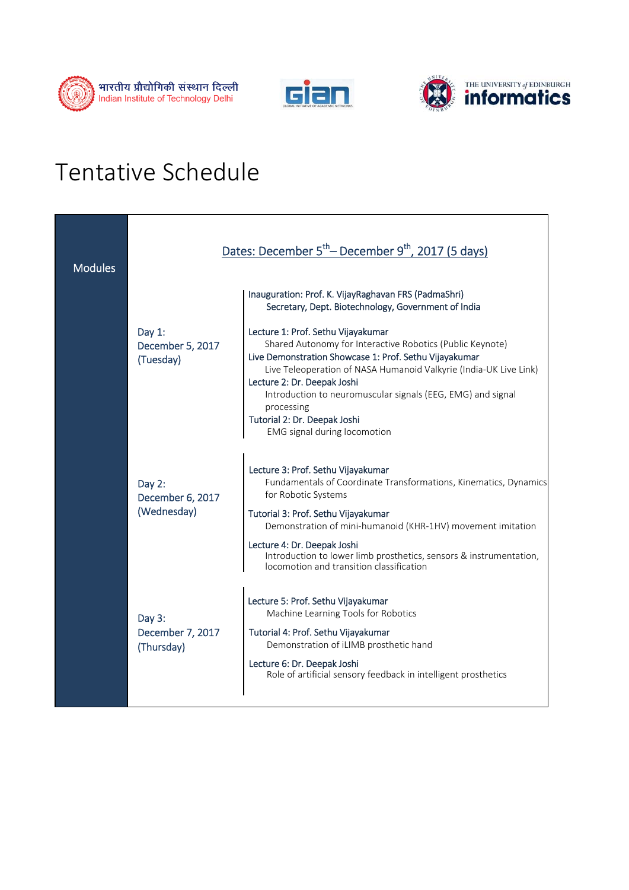





## Tentative Schedule

| <b>Modules</b> | Dates: December 5 <sup>th</sup> – December 9 <sup>th</sup> , 2017 (5 days) |                                                                                                                                                                                                                                                                                                                                                                                                            |
|----------------|----------------------------------------------------------------------------|------------------------------------------------------------------------------------------------------------------------------------------------------------------------------------------------------------------------------------------------------------------------------------------------------------------------------------------------------------------------------------------------------------|
|                |                                                                            | Inauguration: Prof. K. VijayRaghavan FRS (PadmaShri)<br>Secretary, Dept. Biotechnology, Government of India                                                                                                                                                                                                                                                                                                |
|                | Day $1$ :<br>December 5, 2017<br>(Tuesday)                                 | Lecture 1: Prof. Sethu Vijayakumar<br>Shared Autonomy for Interactive Robotics (Public Keynote)<br>Live Demonstration Showcase 1: Prof. Sethu Vijayakumar<br>Live Teleoperation of NASA Humanoid Valkyrie (India-UK Live Link)<br>Lecture 2: Dr. Deepak Joshi<br>Introduction to neuromuscular signals (EEG, EMG) and signal<br>processing<br>Tutorial 2: Dr. Deepak Joshi<br>EMG signal during locomotion |
|                | Day 2:<br>December 6, 2017<br>(Wednesday)                                  | Lecture 3: Prof. Sethu Vijayakumar<br>Fundamentals of Coordinate Transformations, Kinematics, Dynamics<br>for Robotic Systems<br>Tutorial 3: Prof. Sethu Vijayakumar<br>Demonstration of mini-humanoid (KHR-1HV) movement imitation<br>Lecture 4: Dr. Deepak Joshi<br>Introduction to lower limb prosthetics, sensors & instrumentation,<br>locomotion and transition classification                       |
|                | Day 3:<br>December 7, 2017<br>(Thursday)                                   | Lecture 5: Prof. Sethu Vijayakumar<br>Machine Learning Tools for Robotics<br>Tutorial 4: Prof. Sethu Vijayakumar<br>Demonstration of iLIMB prosthetic hand<br>Lecture 6: Dr. Deepak Joshi<br>Role of artificial sensory feedback in intelligent prosthetics                                                                                                                                                |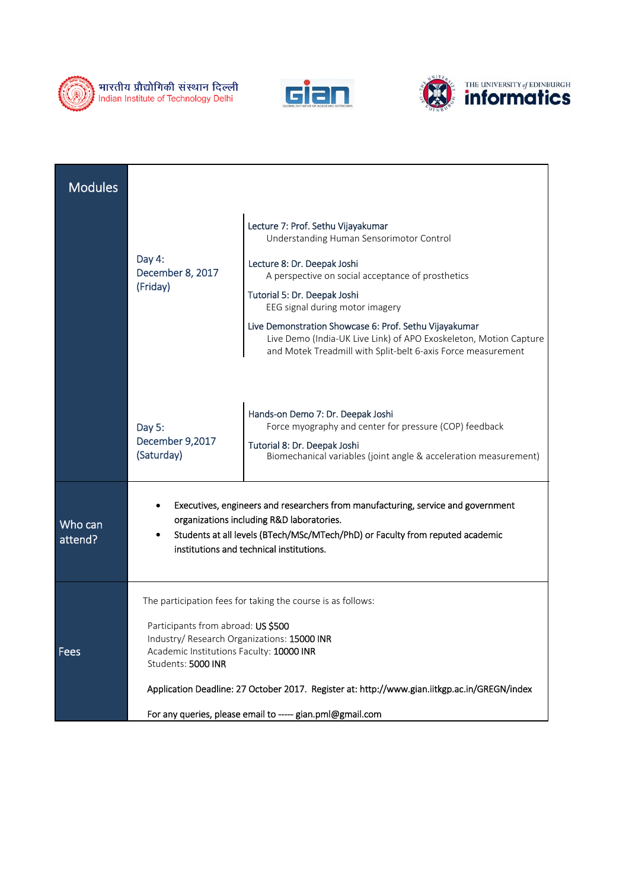





| <b>Modules</b>     |                                                                                                                                                                                                                                                                                                                                                                                 |                                                                                                                                                                                                                                                                                                                                                                                                                                      |
|--------------------|---------------------------------------------------------------------------------------------------------------------------------------------------------------------------------------------------------------------------------------------------------------------------------------------------------------------------------------------------------------------------------|--------------------------------------------------------------------------------------------------------------------------------------------------------------------------------------------------------------------------------------------------------------------------------------------------------------------------------------------------------------------------------------------------------------------------------------|
|                    | Day 4:<br>December 8, 2017<br>(Friday)                                                                                                                                                                                                                                                                                                                                          | Lecture 7: Prof. Sethu Vijayakumar<br>Understanding Human Sensorimotor Control<br>Lecture 8: Dr. Deepak Joshi<br>A perspective on social acceptance of prosthetics<br>Tutorial 5: Dr. Deepak Joshi<br>EEG signal during motor imagery<br>Live Demonstration Showcase 6: Prof. Sethu Vijayakumar<br>Live Demo (India-UK Live Link) of APO Exoskeleton, Motion Capture<br>and Motek Treadmill with Split-belt 6-axis Force measurement |
|                    | Day 5:<br>December 9,2017<br>(Saturday)                                                                                                                                                                                                                                                                                                                                         | Hands-on Demo 7: Dr. Deepak Joshi<br>Force myography and center for pressure (COP) feedback<br>Tutorial 8: Dr. Deepak Joshi<br>Biomechanical variables (joint angle & acceleration measurement)                                                                                                                                                                                                                                      |
| Who can<br>attend? | Executives, engineers and researchers from manufacturing, service and government<br>organizations including R&D laboratories.<br>Students at all levels (BTech/MSc/MTech/PhD) or Faculty from reputed academic<br>institutions and technical institutions.                                                                                                                      |                                                                                                                                                                                                                                                                                                                                                                                                                                      |
| <b>Fees</b>        | The participation fees for taking the course is as follows:<br>Participants from abroad: US \$500<br>Industry/ Research Organizations: 15000 INR<br>Academic Institutions Faculty: 10000 INR<br>Students: 5000 INR<br>Application Deadline: 27 October 2017. Register at: http://www.gian.iitkgp.ac.in/GREGN/index<br>For any queries, please email to ----- gian.pml@gmail.com |                                                                                                                                                                                                                                                                                                                                                                                                                                      |